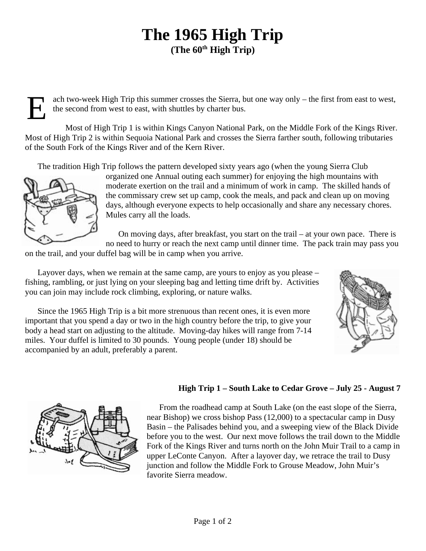## **The 1965 High Trip** (The  $60<sup>th</sup>$  High Trip)

ach two-week High Trip this summer crosses the Sierra, but one way only – the first from east to west, the second from west to east, with shuttles by charter bus.

E Most of High Trip 1 is within Kings Canyon National Park, on the Middle Fork of the Kings River. Most of High Trip 2 is within Sequoia National Park and crosses the Sierra farther south, following tributaries of the South Fork of the Kings River and of the Kern River.

The tradition High Trip follows the pattern developed sixty years ago (when the young Sierra Club



organized one Annual outing each summer) for enjoying the high mountains with moderate exertion on the trail and a minimum of work in camp. The skilled hands of the commissary crew set up camp, cook the meals, and pack and clean up on moving days, although everyone expects to help occasionally and share any necessary chores. Mules carry all the loads.

On moving days, after breakfast, you start on the trail – at your own pace. There is no need to hurry or reach the next camp until dinner time. The pack train may pass you

on the trail, and your duffel bag will be in camp when you arrive.

Layover days, when we remain at the same camp, are yours to enjoy as you please – fishing, rambling, or just lying on your sleeping bag and letting time drift by. Activities you can join may include rock climbing, exploring, or nature walks.





## **High Trip 1 – South Lake to Cedar Grove – July 25 - August 7**

From the roadhead camp at South Lake (on the east slope of the Sierra, near Bishop) we cross bishop Pass (12,000) to a spectacular camp in Dusy Basin – the Palisades behind you, and a sweeping view of the Black Divide before you to the west. Our next move follows the trail down to the Middle Fork of the Kings River and turns north on the John Muir Trail to a camp in upper LeConte Canyon. After a layover day, we retrace the trail to Dusy junction and follow the Middle Fork to Grouse Meadow, John Muir's favorite Sierra meadow.